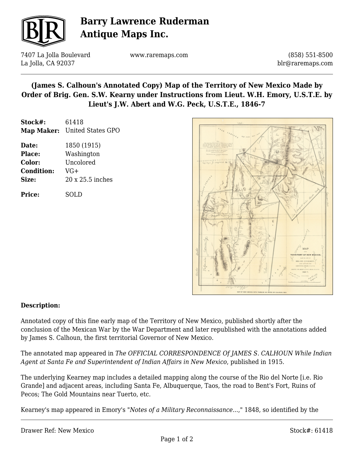

# **Barry Lawrence Ruderman Antique Maps Inc.**

7407 La Jolla Boulevard La Jolla, CA 92037

www.raremaps.com

(858) 551-8500 blr@raremaps.com

### **(James S. Calhoun's Annotated Copy) Map of the Territory of New Mexico Made by Order of Brig. Gen. S.W. Kearny under Instructions from Lieut. W.H. Emory, U.S.T.E. by Lieut's J.W. Abert and W.G. Peck, U.S.T.E., 1846-7**

| Stock#:       | 61418                        |
|---------------|------------------------------|
|               | Map Maker: United States GPO |
| Date:         | 1850 (1915)                  |
| <b>Place:</b> | Washington                   |

**Color:** Uncolored **Condition:** VG+ **Size:** 20 x 25.5 inches

**Price:** SOLD



#### **Description:**

Annotated copy of this fine early map of the Territory of New Mexico, published shortly after the conclusion of the Mexican War by the War Department and later republished with the annotations added by James S. Calhoun, the first territorial Governor of New Mexico.

The annotated map appeared in *The OFFICIAL CORRESPONDENCE Of JAMES S. CALHOUN While Indian Agent at Santa Fe and Superintendent of Indian Affairs in New Mexico*, published in 1915.

The underlying Kearney map includes a detailed mapping along the course of the Rio del Norte [i.e. Rio Grande] and adjacent areas, including Santa Fe, Albuquerque, Taos, the road to Bent's Fort, Ruins of Pecos; The Gold Mountains near Tuerto, etc.

Kearney's map appeared in Emory's "*Notes of a Military Reconnaissance...*," 1848, so identified by the